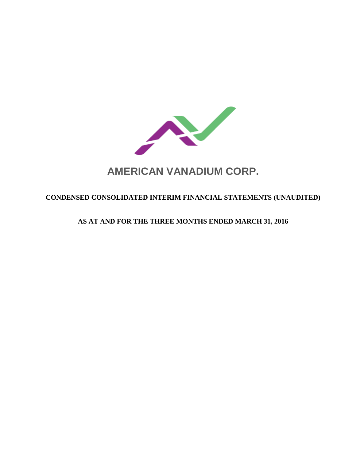

# **AMERICAN VANADIUM CORP.**

# **CONDENSED CONSOLIDATED INTERIM FINANCIAL STATEMENTS (UNAUDITED)**

# **AS AT AND FOR THE THREE MONTHS ENDED MARCH 31, 2016**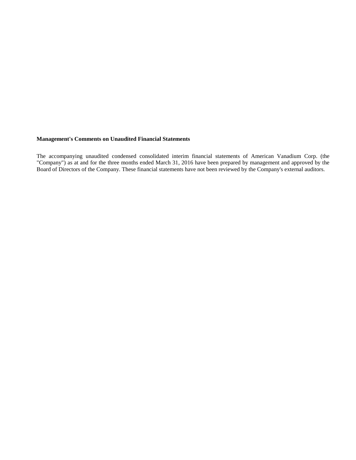## **Management's Comments on Unaudited Financial Statements**

The accompanying unaudited condensed consolidated interim financial statements of American Vanadium Corp. (the "Company") as at and for the three months ended March 31, 2016 have been prepared by management and approved by the Board of Directors of the Company. These financial statements have not been reviewed by the Company's external auditors.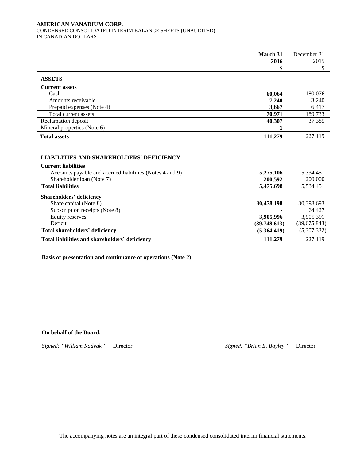#### **AMERICAN VANADIUM CORP.**  CONDENSED CONSOLIDATED INTERIM BALANCE SHEETS (UNAUDITED) IN CANADIAN DOLLARS

|                                                          | March 31     | December 31    |
|----------------------------------------------------------|--------------|----------------|
|                                                          | 2016         | 2015           |
|                                                          |              |                |
| <b>ASSETS</b>                                            |              |                |
| <b>Current assets</b>                                    |              |                |
| Cash                                                     | 60,064       | 180,076        |
| Amounts receivable                                       | 7,240        | 3,240          |
| Prepaid expenses (Note 4)                                | 3,667        | 6,417          |
| Total current assets                                     | 70,971       | 189,733        |
| Reclamation deposit                                      | 40,307       | 37,385         |
| Mineral properties (Note 6)                              |              |                |
| <b>Total assets</b>                                      | 111,279      | 227,119        |
|                                                          |              |                |
|                                                          |              |                |
| <b>LIABILITIES AND SHAREHOLDERS' DEFICIENCY</b>          |              |                |
| <b>Current liabilities</b>                               |              |                |
| Accounts payable and accrued liabilities (Notes 4 and 9) | 5,275,106    | 5,334,451      |
| Shareholder loan (Note 7)                                | 200,592      | 200,000        |
| <b>Total liabilities</b>                                 | 5,475,698    | 5,534,451      |
| <b>Shareholders' deficiency</b>                          |              |                |
| Share capital (Note 8)                                   | 30,478,198   | 30,398,693     |
| Subscription receipts (Note 8)                           |              | 64,427         |
| Equity reserves                                          | 3,905,996    | 3,905,391      |
| Deficit                                                  | (39,748,613) | (39, 675, 843) |
| Total shareholders' deficiency                           | (5,364,419)  | (5,307,332)    |
| Total liabilities and shareholders' deficiency           | 111,279      | 227,119        |

**Basis of presentation and continuance of operations (Note 2)**

#### **On behalf of the Board:**

*Signed: "William Radvak"* Director *Signed: "Brian E. Bayley"* Director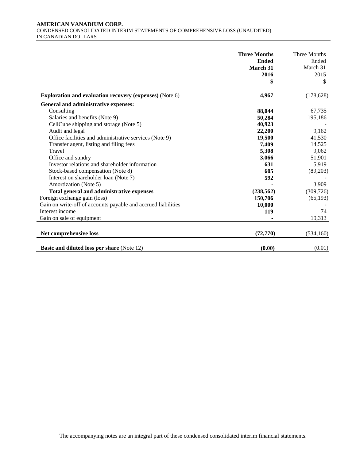#### **AMERICAN VANADIUM CORP.**  CONDENSED CONSOLIDATED INTERIM STATEMENTS OF COMPREHENSIVE LOSS (UNAUDITED) IN CANADIAN DOLLARS

|                                                                | <b>Three Months</b> | Three Months |
|----------------------------------------------------------------|---------------------|--------------|
|                                                                | <b>Ended</b>        | Ended        |
|                                                                | March 31            | March 31     |
|                                                                | 2016                | 2015         |
|                                                                | \$                  | \$           |
| <b>Exploration and evaluation recovery (expenses) (Note 6)</b> | 4,967               | (178, 628)   |
| General and administrative expenses:                           |                     |              |
| Consulting                                                     | 88,044              | 67,735       |
| Salaries and benefits (Note 9)                                 | 50,284              | 195,186      |
| CellCube shipping and storage (Note 5)                         | 40,923              |              |
| Audit and legal                                                | 22,200              | 9,162        |
| Office facilities and administrative services (Note 9)         | 19,500              | 41,530       |
| Transfer agent, listing and filing fees                        | 7,409               | 14,525       |
| Travel                                                         | 5,308               | 9,062        |
| Office and sundry                                              | 3,066               | 51,901       |
| Investor relations and shareholder information                 | 631                 | 5,919        |
| Stock-based compensation (Note 8)                              | 605                 | (89,203)     |
| Interest on shareholder loan (Note 7)                          | 592                 |              |
| Amortization (Note 5)                                          |                     | 3,909        |
| Total general and administrative expenses                      | (238, 562)          | (309, 726)   |
| Foreign exchange gain (loss)                                   | 150,706             | (65, 193)    |
| Gain on write-off of accounts payable and accrued liabilities  | 10,000              |              |
| Interest income                                                | 119                 | 74           |
| Gain on sale of equipment                                      |                     | 19,313       |
| Net comprehensive loss                                         | (72, 770)           | (534, 160)   |
| <b>Basic and diluted loss per share (Note 12)</b>              | (0.00)              | (0.01)       |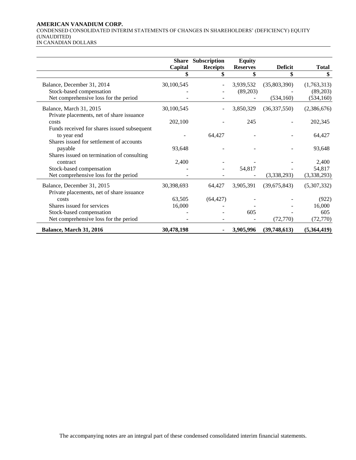## **AMERICAN VANADIUM CORP.**

CONDENSED CONSOLIDATED INTERIM STATEMENTS OF CHANGES IN SHAREHOLDERS' (DEFICIENCY) EQUITY (UNAUDITED) IN CANADIAN DOLLARS

|                                                                         | Capital    | Share Subscription<br><b>Receipts</b> | <b>Equity</b><br><b>Reserves</b> | <b>Deficit</b> | <b>Total</b> |
|-------------------------------------------------------------------------|------------|---------------------------------------|----------------------------------|----------------|--------------|
|                                                                         |            |                                       |                                  |                |              |
| Balance, December 31, 2014                                              | 30,100,545 |                                       | 3,939,532                        | (35,803,390)   | (1,763,313)  |
| Stock-based compensation                                                |            |                                       | (89,203)                         |                | (89,203)     |
| Net comprehensive loss for the period                                   |            |                                       |                                  | (534, 160)     | (534, 160)   |
| Balance, March 31, 2015<br>Private placements, net of share issuance    | 30,100,545 |                                       | 3,850,329                        | (36,337,550)   | (2,386,676)  |
| costs                                                                   | 202,100    |                                       | 245                              |                | 202,345      |
| Funds received for shares issued subsequent<br>to year end              |            | 64,427                                |                                  |                | 64,427       |
| Shares issued for settlement of accounts<br>payable                     | 93,648     |                                       |                                  |                | 93,648       |
| Shares issued on termination of consulting<br>contract                  | 2,400      |                                       |                                  |                | 2,400        |
| Stock-based compensation                                                |            |                                       | 54,817                           |                | 54,817       |
| Net comprehensive loss for the period                                   |            |                                       |                                  | (3,338,293)    | (3,338,293)  |
| Balance, December 31, 2015<br>Private placements, net of share issuance | 30,398,693 | 64,427                                | 3,905,391                        | (39,675,843)   | (5,307,332)  |
| costs                                                                   | 63,505     | (64, 427)                             |                                  |                | (922)        |
| Shares issued for services                                              | 16,000     |                                       |                                  |                | 16,000       |
| Stock-based compensation                                                |            |                                       | 605                              |                | 605          |
| Net comprehensive loss for the period                                   |            |                                       |                                  | (72, 770)      | (72, 770)    |

**Balance, March 31, 2016 30,478,198 - 3,905,996 (39,748,613) (5,364,419)**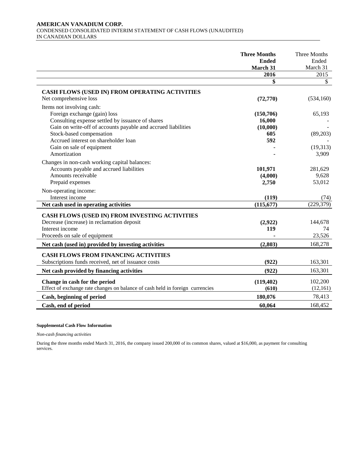#### **AMERICAN VANADIUM CORP.**  CONDENSED CONSOLIDATED INTERIM STATEMENT OF CASH FLOWS (UNAUDITED) IN CANADIAN DOLLARS

|                                                                                                                                                                                                                                                                                                 | <b>Three Months</b><br><b>Ended</b><br>March 31 | Three Months<br>Ended<br>March 31       |
|-------------------------------------------------------------------------------------------------------------------------------------------------------------------------------------------------------------------------------------------------------------------------------------------------|-------------------------------------------------|-----------------------------------------|
|                                                                                                                                                                                                                                                                                                 | 2016                                            | 2015                                    |
|                                                                                                                                                                                                                                                                                                 | \$                                              | $\mathbb{S}$                            |
| CASH FLOWS (USED IN) FROM OPERATING ACTIVITIES<br>Net comprehensive loss                                                                                                                                                                                                                        | (72, 770)                                       | (534, 160)                              |
| Items not involving cash:<br>Foreign exchange (gain) loss<br>Consulting expense settled by issuance of shares<br>Gain on write-off of accounts payable and accrued liabilities<br>Stock-based compensation<br>Accrued interest on shareholder loan<br>Gain on sale of equipment<br>Amortization | (150,706)<br>16,000<br>(10,000)<br>605<br>592   | 65,193<br>(89,203)<br>(19,313)<br>3,909 |
| Changes in non-cash working capital balances:<br>Accounts payable and accrued liabilities<br>Amounts receivable<br>Prepaid expenses                                                                                                                                                             | 101,971<br>(4,000)<br>2,750                     | 281,629<br>9,628<br>53,012              |
| Non-operating income:<br>Interest income<br>Net cash used in operating activities                                                                                                                                                                                                               | (119)<br>(115, 677)                             | (74)<br>(229, 379)                      |
|                                                                                                                                                                                                                                                                                                 |                                                 |                                         |
| CASH FLOWS (USED IN) FROM INVESTING ACTIVITIES<br>Decrease (increase) in reclamation deposit<br>Interest income<br>Proceeds on sale of equipment                                                                                                                                                | (2,922)<br>119                                  | 144,678<br>74<br>23,526                 |
| Net cash (used in) provided by investing activities                                                                                                                                                                                                                                             | (2,803)                                         | 168,278                                 |
| <b>CASH FLOWS FROM FINANCING ACTIVITIES</b><br>Subscriptions funds received, net of issuance costs                                                                                                                                                                                              | (922)                                           | 163,301                                 |
| Net cash provided by financing activities                                                                                                                                                                                                                                                       | (922)                                           | 163,301                                 |
| Change in cash for the period<br>Effect of exchange rate changes on balance of cash held in foreign currencies                                                                                                                                                                                  | (119, 402)<br>(610)                             | 102,200<br>(12, 161)                    |
| Cash, beginning of period                                                                                                                                                                                                                                                                       | 180,076                                         | 78,413                                  |
| Cash, end of period                                                                                                                                                                                                                                                                             | 60,064                                          | 168,452                                 |

# **Supplemental Cash Flow Information**

*Non-cash financing activities*

During the three months ended March 31, 2016, the company issued 200,000 of its common shares, valued at \$16,000, as payment for consulting services.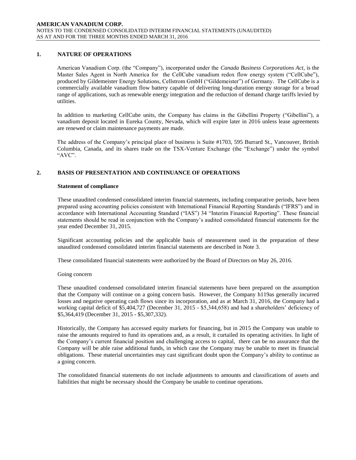# **1. NATURE OF OPERATIONS**

American Vanadium Corp. (the "Company"), incorporated under the *Canada Business Corporations Act*, is the Master Sales Agent in North America for the CellCube vanadium redox flow energy system ("CellCube"), produced by Gildemeister Energy Solutions, Cellstrom GmbH ("Gildemeister") of Germany. The CellCube is a commercially available vanadium flow battery capable of delivering long-duration energy storage for a broad range of applications, such as renewable energy integration and the reduction of demand charge tariffs levied by utilities.

In addition to marketing CellCube units, the Company has claims in the Gibellini Property ("Gibellini"), a vanadium deposit located in Eureka County, Nevada, which will expire later in 2016 unless lease agreements are renewed or claim maintenance payments are made.

The address of the Company's principal place of business is Suite #1703, 595 Burrard St., Vancouver, British Columbia, Canada, and its shares trade on the TSX-Venture Exchange (the "Exchange") under the symbol "AVC".

# **2. BASIS OF PRESENTATION AND CONTINUANCE OF OPERATIONS**

#### **Statement of compliance**

These unaudited condensed consolidated interim financial statements, including comparative periods, have been prepared using accounting policies consistent with International Financial Reporting Standards ("IFRS") and in accordance with International Accounting Standard ("IAS") 34 "Interim Financial Reporting". These financial statements should be read in conjunction with the Company's audited consolidated financial statements for the year ended December 31, 2015.

Significant accounting policies and the applicable basis of measurement used in the preparation of these unaudited condensed consolidated interim financial statements are described in Note 3.

These consolidated financial statements were authorized by the Board of Directors on May 26, 2016.

#### Going concern

These unaudited condensed consolidated interim financial statements have been prepared on the assumption that the Company will continue on a going concern basis. However, the Company h119as generally incurred losses and negative operating cash flows since its incorporation, and as at March 31, 2016, the Company had a working capital deficit of \$5,404,727 (December 31, 2015 - \$5,344,658) and had a shareholders' deficiency of \$5,364,419 (December 31, 2015 - \$5,307,332).

Historically, the Company has accessed equity markets for financing, but in 2015 the Company was unable to raise the amounts required to fund its operations and, as a result, it curtailed its operating activities. In light of the Company's current financial position and challenging access to capital, there can be no assurance that the Company will be able raise additional funds, in which case the Company may be unable to meet its financial obligations. These material uncertainties may cast significant doubt upon the Company's ability to continue as a going concern.

The consolidated financial statements do not include adjustments to amounts and classifications of assets and liabilities that might be necessary should the Company be unable to continue operations.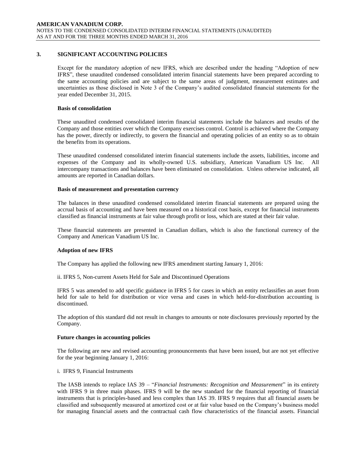## **3. SIGNIFICANT ACCOUNTING POLICIES**

Except for the mandatory adoption of new IFRS, which are described under the heading "Adoption of new IFRS", these unaudited condensed consolidated interim financial statements have been prepared according to the same accounting policies and are subject to the same areas of judgment, measurement estimates and uncertainties as those disclosed in Note 3 of the Company's audited consolidated financial statements for the year ended December 31, 2015.

#### **Basis of consolidation**

These unaudited condensed consolidated interim financial statements include the balances and results of the Company and those entities over which the Company exercises control. Control is achieved where the Company has the power, directly or indirectly, to govern the financial and operating policies of an entity so as to obtain the benefits from its operations.

These unaudited condensed consolidated interim financial statements include the assets, liabilities, income and expenses of the Company and its wholly-owned U.S. subsidiary, American Vanadium US Inc. All intercompany transactions and balances have been eliminated on consolidation. Unless otherwise indicated, all amounts are reported in Canadian dollars.

#### **Basis of measurement and presentation currency**

The balances in these unaudited condensed consolidated interim financial statements are prepared using the accrual basis of accounting and have been measured on a historical cost basis, except for financial instruments classified as financial instruments at fair value through profit or loss, which are stated at their fair value.

These financial statements are presented in Canadian dollars, which is also the functional currency of the Company and American Vanadium US Inc.

#### **Adoption of new IFRS**

The Company has applied the following new IFRS amendment starting January 1, 2016:

ii. IFRS 5, Non-current Assets Held for Sale and Discontinued Operations

IFRS 5 was amended to add specific guidance in IFRS 5 for cases in which an entity reclassifies an asset from held for sale to held for distribution or vice versa and cases in which held-for-distribution accounting is discontinued.

The adoption of this standard did not result in changes to amounts or note disclosures previously reported by the Company.

#### **Future changes in accounting policies**

The following are new and revised accounting pronouncements that have been issued, but are not yet effective for the year beginning January 1, 2016:

#### i. IFRS 9, Financial Instruments

The IASB intends to replace IAS 39 – "*Financial Instruments: Recognition and Measurement*" in its entirety with IFRS 9 in three main phases. IFRS 9 will be the new standard for the financial reporting of financial instruments that is principles-based and less complex than IAS 39. IFRS 9 requires that all financial assets be classified and subsequently measured at amortized cost or at fair value based on the Company's business model for managing financial assets and the contractual cash flow characteristics of the financial assets. Financial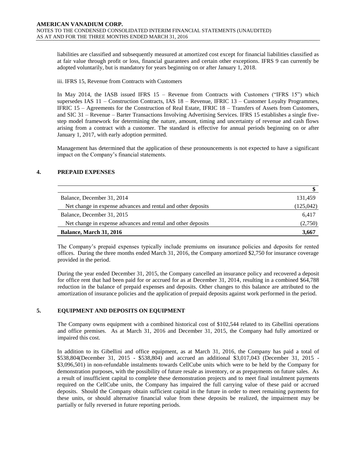liabilities are classified and subsequently measured at amortized cost except for financial liabilities classified as at fair value through profit or loss, financial guarantees and certain other exceptions. IFRS 9 can currently be adopted voluntarily, but is mandatory for years beginning on or after January 1, 2018.

#### iii. IFRS 15, Revenue from Contracts with Customers

In May 2014, the IASB issued IFRS 15 – Revenue from Contracts with Customers ("IFRS 15") which supersedes IAS 11 – Construction Contracts, IAS 18 – Revenue, IFRIC 13 – Customer Loyalty Programmes, IFRIC 15 – Agreements for the Construction of Real Estate, IFRIC 18 – Transfers of Assets from Customers, and SIC 31 – Revenue – Barter Transactions Involving Advertising Services. IFRS 15 establishes a single fivestep model framework for determining the nature, amount, timing and uncertainty of revenue and cash flows arising from a contract with a customer. The standard is effective for annual periods beginning on or after January 1, 2017, with early adoption permitted.

Management has determined that the application of these pronouncements is not expected to have a significant impact on the Company's financial statements.

# **4. PREPAID EXPENSES**

| Balance, December 31, 2014                                   | 131,459    |
|--------------------------------------------------------------|------------|
| Net change in expense advances and rental and other deposits | (125, 042) |
| Balance, December 31, 2015                                   | 6.417      |
| Net change in expense advances and rental and other deposits | (2,750)    |
| <b>Balance, March 31, 2016</b>                               | 3.667      |

The Company's prepaid expenses typically include premiums on insurance policies and deposits for rented offices. During the three months ended March 31, 2016, the Company amortized \$2,750 for insurance coverage provided in the period.

During the year ended December 31, 2015, the Company cancelled an insurance policy and recovered a deposit for office rent that had been paid for or accrued for as at December 31, 2014, resulting in a combined \$64,788 reduction in the balance of prepaid expenses and deposits. Other changes to this balance are attributed to the amortization of insurance policies and the application of prepaid deposits against work performed in the period.

# **5. EQUIPMENT AND DEPOSITS ON EQUIPMENT**

The Company owns equipment with a combined historical cost of \$102,544 related to its Gibellini operations and office premises. As at March 31, 2016 and December 31, 2015, the Company had fully amortized or impaired this cost.

In addition to its Gibellini and office equipment, as at March 31, 2016, the Company has paid a total of \$538,804(December 31, 2015 - \$538,804) and accrued an additional \$3,017,043 (December 31, 2015 - \$3,096,501) in non-refundable instalments towards CellCube units which were to be held by the Company for demonstration purposes, with the possibility of future resale as inventory, or as prepayments on future sales. As a result of insufficient capital to complete these demonstration projects and to meet final instalment payments required on the CellCube units, the Company has impaired the full carrying value of these paid or accrued deposits. Should the Company obtain sufficient capital in the future in order to meet remaining payments for these units, or should alternative financial value from these deposits be realized, the impairment may be partially or fully reversed in future reporting periods.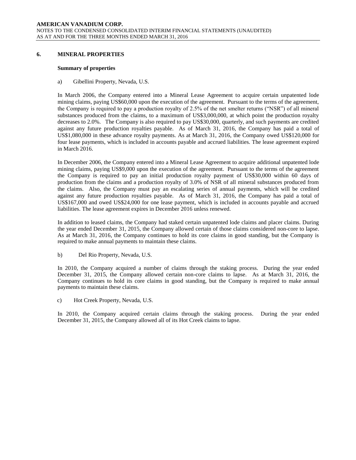#### **6. MINERAL PROPERTIES**

#### **Summary of properties**

a) Gibellini Property, Nevada, U.S.

In March 2006, the Company entered into a Mineral Lease Agreement to acquire certain unpatented lode mining claims, paying US\$60,000 upon the execution of the agreement. Pursuant to the terms of the agreement, the Company is required to pay a production royalty of 2.5% of the net smelter returns ("NSR") of all mineral substances produced from the claims, to a maximum of US\$3,000,000, at which point the production royalty decreases to 2.0%. The Company is also required to pay US\$30,000, quarterly, and such payments are credited against any future production royalties payable. As of March 31, 2016, the Company has paid a total of US\$1,080,000 in these advance royalty payments. As at March 31, 2016, the Company owed US\$120,000 for four lease payments, which is included in accounts payable and accrued liabilities. The lease agreement expired in March 2016.

In December 2006, the Company entered into a Mineral Lease Agreement to acquire additional unpatented lode mining claims, paying US\$9,000 upon the execution of the agreement. Pursuant to the terms of the agreement the Company is required to pay an initial production royalty payment of US\$30,000 within 60 days of production from the claims and a production royalty of 3.0% of NSR of all mineral substances produced from the claims. Also, the Company must pay an escalating series of annual payments, which will be credited against any future production royalties payable. As of March 31, 2016, the Company has paid a total of US\$167,000 and owed US\$24,000 for one lease payment, which is included in accounts payable and accrued liabilities. The lease agreement expires in December 2016 unless renewed.

In addition to leased claims, the Company had staked certain unpatented lode claims and placer claims. During the year ended December 31, 2015, the Company allowed certain of those claims considered non-core to lapse. As at March 31, 2016, the Company continues to hold its core claims in good standing, but the Company is required to make annual payments to maintain these claims.

b) Del Rio Property, Nevada, U.S.

In 2010, the Company acquired a number of claims through the staking process. During the year ended December 31, 2015, the Company allowed certain non-core claims to lapse. As at March 31, 2016, the Company continues to hold its core claims in good standing, but the Company is required to make annual payments to maintain these claims.

c) Hot Creek Property, Nevada, U.S.

In 2010, the Company acquired certain claims through the staking process. During the year ended December 31, 2015, the Company allowed all of its Hot Creek claims to lapse.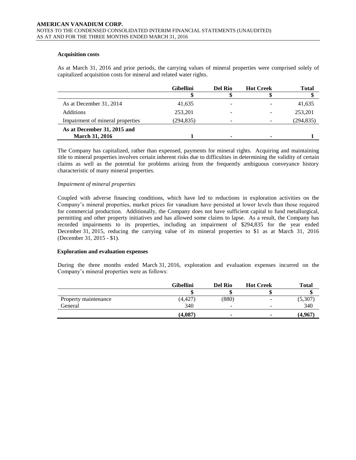## **Acquisition costs**

As at March 31, 2016 and prior periods, the carrying values of mineral properties were comprised solely of capitalized acquisition costs for mineral and related water rights.

|                                                      | <b>Gibellini</b> | <b>Del Rio</b> | <b>Hot Creek</b> | <b>Total</b> |
|------------------------------------------------------|------------------|----------------|------------------|--------------|
|                                                      |                  |                |                  |              |
| As at December 31, 2014                              | 41,635           |                |                  | 41,635       |
| Additions                                            | 253,201          | -              |                  | 253,201      |
| Impairment of mineral properties                     | (294, 835)       |                |                  | (294, 835)   |
| As at December 31, 2015 and<br><b>March 31, 2016</b> |                  | ۰              |                  |              |

The Company has capitalized, rather than expensed, payments for mineral rights. Acquiring and maintaining title to mineral properties involves certain inherent risks due to difficulties in determining the validity of certain claims as well as the potential for problems arising from the frequently ambiguous conveyance history characteristic of many mineral properties.

## *Impairment of mineral properties*

Coupled with adverse financing conditions, which have led to reductions in exploration activities on the Company's mineral properties, market prices for vanadium have persisted at lower levels than those required for commercial production. Additionally, the Company does not have sufficient capital to fund metallurgical, permitting and other property initiatives and has allowed some claims to lapse. As a result, the Company has recorded impairments to its properties, including an impairment of \$294,835 for the year ended December 31, 2015, reducing the carrying value of its mineral properties to \$1 as at March 31, 2016 (December 31, 2015 - \$1).

#### **Exploration and evaluation expenses**

During the three months ended March 31, 2016, exploration and evaluation expenses incurred on the Company's mineral properties were as follows:

|                      | <b>Gibellini</b> | <b>Del Rio</b>           | <b>Hot Creek</b> | <b>Total</b> |
|----------------------|------------------|--------------------------|------------------|--------------|
|                      |                  |                          |                  |              |
| Property maintenance | 4,427)           | (880)                    |                  | (5,307)      |
| General              | 340              | $\overline{\phantom{0}}$ |                  | 340          |
|                      | (4,087)          | $\overline{\phantom{a}}$ |                  | (4,967)      |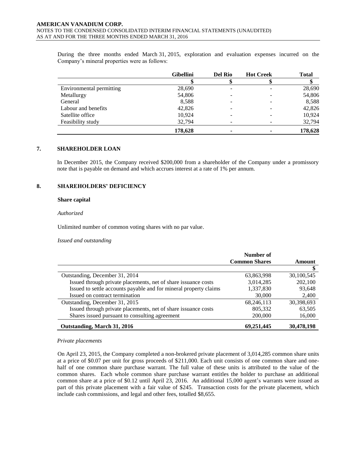During the three months ended March 31, 2015, exploration and evaluation expenses incurred on the Company's mineral properties were as follows:

|                          | <b>Gibellini</b> | <b>Del Rio</b> | <b>Hot Creek</b> | <b>Total</b> |
|--------------------------|------------------|----------------|------------------|--------------|
|                          |                  |                |                  |              |
| Environmental permitting | 28,690           |                |                  | 28,690       |
| Metallurgy               | 54,806           |                |                  | 54,806       |
| General                  | 8,588            |                |                  | 8,588        |
| Labour and benefits      | 42,826           |                |                  | 42,826       |
| Satellite office         | 10,924           |                |                  | 10,924       |
| Feasibility study        | 32,794           |                |                  | 32,794       |
|                          | 178,628          | ۰              |                  | 178,628      |

#### **7. SHAREHOLDER LOAN**

In December 2015, the Company received \$200,000 from a shareholder of the Company under a promissory note that is payable on demand and which accrues interest at a rate of 1% per annum.

#### **8. SHAREHOLDERS' DEFICIENCY**

#### **Share capital**

#### *Authorized*

Unlimited number of common voting shares with no par value.

#### *Issued and outstanding*

|                                                                   | Number of            |            |
|-------------------------------------------------------------------|----------------------|------------|
|                                                                   | <b>Common Shares</b> | Amount     |
|                                                                   |                      |            |
| Outstanding, December 31, 2014                                    | 63,863,998           | 30,100,545 |
| Issued through private placements, net of share issuance costs    | 3,014,285            | 202,100    |
| Issued to settle accounts payable and for mineral property claims | 1,337,830            | 93,648     |
| Issued on contract termination                                    | 30,000               | 2,400      |
| Outstanding, December 31, 2015                                    | 68,246,113           | 30,398,693 |
| Issued through private placements, net of share issuance costs    | 805,332              | 63,505     |
| Shares issued pursuant to consulting agreement                    | 200,000              | 16,000     |
| Outstanding, March 31, 2016                                       | 69,251,445           | 30,478,198 |

#### *Private placements*

On April 23, 2015, the Company completed a non-brokered private placement of 3,014,285 common share units at a price of \$0.07 per unit for gross proceeds of \$211,000. Each unit consists of one common share and onehalf of one common share purchase warrant. The full value of these units is attributed to the value of the common shares. Each whole common share purchase warrant entitles the holder to purchase an additional common share at a price of \$0.12 until April 23, 2016. An additional 15,000 agent's warrants were issued as part of this private placement with a fair value of \$245. Transaction costs for the private placement, which include cash commissions, and legal and other fees, totalled \$8,655.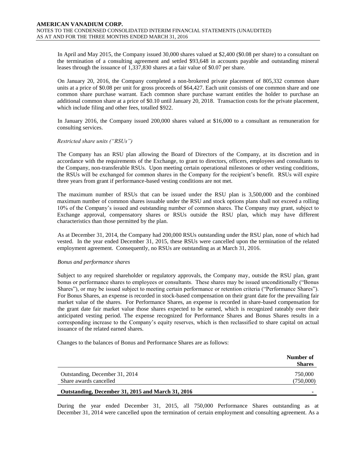In April and May 2015, the Company issued 30,000 shares valued at \$2,400 (\$0.08 per share) to a consultant on the termination of a consulting agreement and settled \$93,648 in accounts payable and outstanding mineral leases through the issuance of 1,337,830 shares at a fair value of \$0.07 per share.

On January 20, 2016, the Company completed a non-brokered private placement of 805,332 common share units at a price of \$0.08 per unit for gross proceeds of \$64,427. Each unit consists of one common share and one common share purchase warrant. Each common share purchase warrant entitles the holder to purchase an additional common share at a price of \$0.10 until January 20, 2018. Transaction costs for the private placement, which include filing and other fees, totalled \$922.

In January 2016, the Company issued 200,000 shares valued at \$16,000 to a consultant as remuneration for consulting services.

#### *Restricted share units ("RSUs")*

The Company has an RSU plan allowing the Board of Directors of the Company, at its discretion and in accordance with the requirements of the Exchange, to grant to directors, officers, employees and consultants to the Company, non-transferable RSUs. Upon meeting certain operational milestones or other vesting conditions, the RSUs will be exchanged for common shares in the Company for the recipient's benefit. RSUs will expire three years from grant if performance-based vesting conditions are not met.

The maximum number of RSUs that can be issued under the RSU plan is 3,500,000 and the combined maximum number of common shares issuable under the RSU and stock options plans shall not exceed a rolling 10% of the Company's issued and outstanding number of common shares. The Company may grant, subject to Exchange approval, compensatory shares or RSUs outside the RSU plan, which may have different characteristics than those permitted by the plan.

As at December 31, 2014, the Company had 200,000 RSUs outstanding under the RSU plan, none of which had vested. In the year ended December 31, 2015, these RSUs were cancelled upon the termination of the related employment agreement. Consequently, no RSUs are outstanding as at March 31, 2016.

#### *Bonus and performance shares*

Subject to any required shareholder or regulatory approvals, the Company may, outside the RSU plan, grant bonus or performance shares to employees or consultants. These shares may be issued unconditionally ("Bonus Shares"), or may be issued subject to meeting certain performance or retention criteria ("Performance Shares"). For Bonus Shares, an expense is recorded in stock-based compensation on their grant date for the prevailing fair market value of the shares. For Performance Shares, an expense is recorded in share-based compensation for the grant date fair market value those shares expected to be earned, which is recognized rateably over their anticipated vesting period. The expense recognized for Performance Shares and Bonus Shares results in a corresponding increase to the Company's equity reserves, which is then reclassified to share capital on actual issuance of the related earned shares.

Changes to the balances of Bonus and Performance Shares are as follows:

|                                                   | Number of<br><b>Shares</b> |
|---------------------------------------------------|----------------------------|
| Outstanding, December 31, 2014                    | 750,000                    |
| Share awards cancelled                            | (750,000)                  |
| Outstanding, December 31, 2015 and March 31, 2016 | ۰                          |

During the year ended December 31, 2015, all 750,000 Performance Shares outstanding as at December 31, 2014 were cancelled upon the termination of certain employment and consulting agreement. As a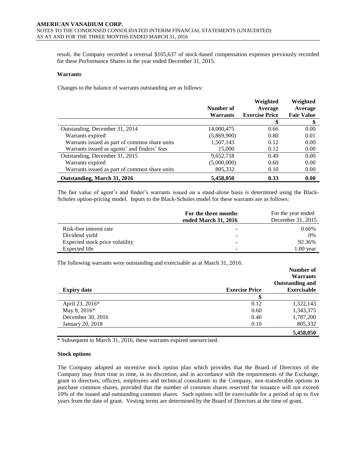result, the Company recorded a reversal \$105,637 of stock-based compensation expenses previously recorded for these Performance Shares in the year ended December 31, 2015.

#### **Warrants**

Changes to the balance of warrants outstanding are as follows:

|                                               |                 | Weighted              | Weighted          |
|-----------------------------------------------|-----------------|-----------------------|-------------------|
|                                               | Number of       | Average               | Average           |
|                                               | <b>Warrants</b> | <b>Exercise Price</b> | <b>Fair Value</b> |
|                                               |                 |                       |                   |
| Outstanding, December 31, 2014                | 14,000,475      | 0.66                  | 0.00              |
| Warrants expired                              | (5,869,900)     | 0.80                  | 0.01              |
| Warrants issued as part of common share units | 1,507,143       | 0.12                  | 0.00              |
| Warrants issued as agents' and finders' fees  | 15,000          | 0.12                  | 0.00              |
| Outstanding, December 31, 2015                | 9,652,718       | 0.49                  | 0.00              |
| Warrants expired                              | (5,000,000)     | 0.60                  | 0.00              |
| Warrants issued as part of common share units | 805,332         | 0.10                  | 0.00              |
| Outstanding, March 31, 2016                   | 5,458,050       | 0.33                  | 0.00              |

The fair value of agent's and finder's warrants issued on a stand-alone basis is determined using the Black-Scholes option-pricing model. Inputs to the Black-Scholes model for these warrants are as follows:

|                                 | For the three months<br>ended March 31, 2016 | For the year ended<br>December 31, 2015 |
|---------------------------------|----------------------------------------------|-----------------------------------------|
| Risk-free interest rate         | -                                            | 0.66%                                   |
| Dividend yield                  | ۰                                            | $0\%$                                   |
| Expected stock price volatility | -                                            | 92.36%                                  |
| Expected life                   | ۰                                            | $1.00$ year                             |

The following warrants were outstanding and exercisable as at March 31, 2016:

|                    |                       | Number of              |
|--------------------|-----------------------|------------------------|
|                    |                       | <b>Warrants</b>        |
|                    |                       | <b>Outstanding and</b> |
| <b>Expiry date</b> | <b>Exercise Price</b> | <b>Exercisable</b>     |
|                    |                       |                        |
| April 23, 2016*    | 0.12                  | 1,522,143              |
| May 8, 2016*       | 0.60                  | 1,343,375              |
| December 30, 2016  | 0.40                  | 1,787,200              |
| January 20, 2018   | 0.10                  | 805,332                |
|                    |                       | 5,458,050              |

\* Subsequent to March 31, 2016, these warrants expired unexercised.

#### **Stock options**

The Company adopted an incentive stock option plan which provides that the Board of Directors of the Company may from time to time, in its discretion, and in accordance with the requirements of the Exchange, grant to directors, officers, employees and technical consultants to the Company, non-transferable options to purchase common shares, provided that the number of common shares reserved for issuance will not exceed 10% of the issued and outstanding common shares. Such options will be exercisable for a period of up to five years from the date of grant. Vesting terms are determined by the Board of Directors at the time of grant.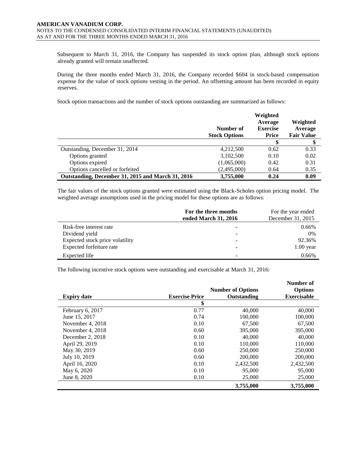Subsequent to March 31, 2016, the Company has suspended its stock option plan, although stock options already granted will remain unaffected.

During the three months ended March 31, 2016, the Company recorded \$604 in stock-based compensation expense for the value of stock options vesting in the period. An offsetting amount has been recorded in equity reserves.

Stock option transactions and the number of stock options outstanding are summarized as follows:

|                                                   | Number of<br><b>Stock Options</b> | Weighted<br>Average<br><b>Exercise</b><br>Price | Weighted<br>Average<br><b>Fair Value</b> |
|---------------------------------------------------|-----------------------------------|-------------------------------------------------|------------------------------------------|
|                                                   |                                   |                                                 |                                          |
| Outstanding, December 31, 2014                    | 4,212,500                         | 0.62                                            | 0.33                                     |
| Options granted                                   | 3,102,500                         | 0.10                                            | 0.02                                     |
| Options expired                                   | (1,065,000)                       | 0.42                                            | 0.31                                     |
| Options cancelled or forfeited                    | (2,495,000)                       | 0.64                                            | 0.35                                     |
| Outstanding, December 31, 2015 and March 31, 2016 | 3,755,000                         | 0.24                                            | 0.09                                     |

The fair values of the stock options granted were estimated using the Black-Scholes option pricing model. The weighted average assumptions used in the pricing model for these options are as follows:

|                                 | For the three months<br>ended March 31, 2016 | For the year ended<br>December 31, 2015 |
|---------------------------------|----------------------------------------------|-----------------------------------------|
|                                 |                                              |                                         |
| Risk-free interest rate         |                                              | $0.66\%$                                |
| Dividend yield                  |                                              | $0\%$                                   |
| Expected stock price volatility |                                              | 92.36%                                  |
| Expected forfeiture rate        |                                              | $1.00$ year                             |
| Expected life                   |                                              | 0.66%                                   |

The following incentive stock options were outstanding and exercisable at March 31, 2016:

|                    |                       | <b>Number of Options</b> | Number of<br><b>Options</b> |
|--------------------|-----------------------|--------------------------|-----------------------------|
| <b>Expiry date</b> | <b>Exercise Price</b> | Outstanding              | <b>Exercisable</b>          |
|                    | \$                    |                          |                             |
| February 6, 2017   | 0.77                  | 40,000                   | 40,000                      |
| June 15, 2017      | 0.74                  | 100,000                  | 100,000                     |
| November 4, 2018   | 0.10                  | 67,500                   | 67,500                      |
| November 4, 2018   | 0.60                  | 395,000                  | 395,000                     |
| December 2, 2018   | 0.10                  | 40,000                   | 40,000                      |
| April 29, 2019     | 0.10                  | 110,000                  | 110,000                     |
| May 30, 2019       | 0.60                  | 250,000                  | 250,000                     |
| July 10, 2019      | 0.60                  | 200,000                  | 200,000                     |
| April 16, 2020     | 0.10                  | 2,432,500                | 2,432,500                   |
| May 6, 2020        | 0.10                  | 95,000                   | 95,000                      |
| June 8, 2020       | 0.10                  | 25,000                   | 25,000                      |
|                    |                       | 3,755,000                | 3,755,000                   |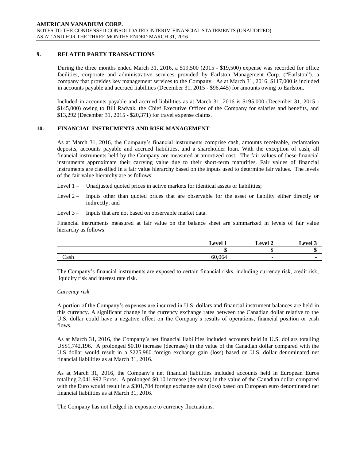# **9. RELATED PARTY TRANSACTIONS**

During the three months ended March 31, 2016, a \$19,500 (2015 - \$19,500) expense was recorded for office facilities, corporate and administrative services provided by Earlston Management Corp. ("Earlston"), a company that provides key management services to the Company. As at March 31, 2016, \$117,000 is included in accounts payable and accrued liabilities (December 31, 2015 - \$96,445) for amounts owing to Earlston.

Included in accounts payable and accrued liabilities as at March 31, 2016 is \$195,000 (December 31, 2015 - \$145,000) owing to Bill Radvak, the Chief Executive Officer of the Company for salaries and benefits, and \$13,292 (December 31, 2015 - \$20,371) for travel expense claims.

## **10. FINANCIAL INSTRUMENTS AND RISK MANAGEMENT**

As at March 31, 2016, the Company's financial instruments comprise cash, amounts receivable, reclamation deposits, accounts payable and accrued liabilities, and a shareholder loan. With the exception of cash, all financial instruments held by the Company are measured at amortized cost. The fair values of these financial instruments approximate their carrying value due to their short-term maturities. Fair values of financial instruments are classified in a fair value hierarchy based on the inputs used to determine fair values. The levels of the fair value hierarchy are as follows:

- Level 1 Unadjusted quoted prices in active markets for identical assets or liabilities;
- Level 2 Inputs other than quoted prices that are observable for the asset or liability either directly or indirectly; and
- Level 3 Inputs that are not based on observable market data.

Financial instruments measured at fair value on the balance sheet are summarized in levels of fair value hierarchy as follows:

|      | 1 امتحه ا | ⊥evel ? | $\triangle$ evel $\degree$ |
|------|-----------|---------|----------------------------|
|      | ш         | w       |                            |
| Cash | 60,064    |         |                            |

The Company's financial instruments are exposed to certain financial risks, including currency risk, credit risk, liquidity risk and interest rate risk.

#### *Currency risk*

A portion of the Company's expenses are incurred in U.S. dollars and financial instrument balances are held in this currency. A significant change in the currency exchange rates between the Canadian dollar relative to the U.S. dollar could have a negative effect on the Company's results of operations, financial position or cash flows.

As at March 31, 2016, the Company's net financial liabilities included accounts held in U.S. dollars totalling US\$1,742,196. A prolonged \$0.10 increase (decrease) in the value of the Canadian dollar compared with the U.S dollar would result in a \$225,980 foreign exchange gain (loss) based on U.S. dollar denominated net financial liabilities as at March 31, 2016.

As at March 31, 2016, the Company's net financial liabilities included accounts held in European Euros totalling 2,041,992 Euros. A prolonged \$0.10 increase (decrease) in the value of the Canadian dollar compared with the Euro would result in a \$301,704 foreign exchange gain (loss) based on European euro denominated net financial liabilities as at March 31, 2016.

The Company has not hedged its exposure to currency fluctuations.